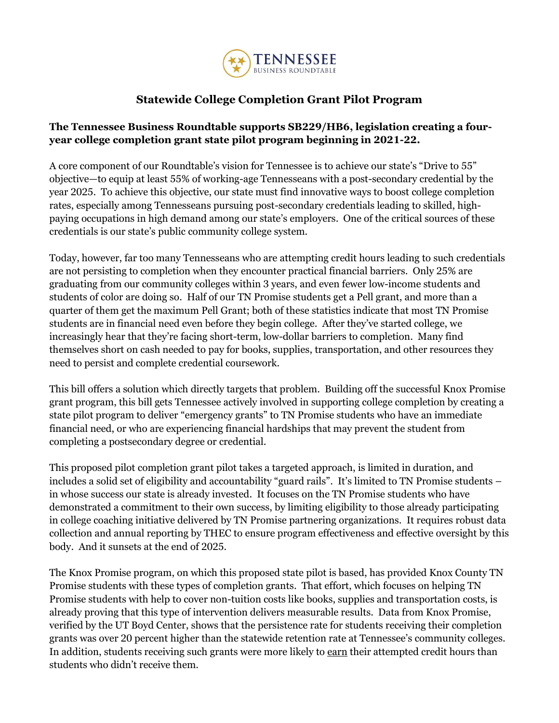

## **Statewide College Completion Grant Pilot Program**

## **The Tennessee Business Roundtable supports SB229/HB6, legislation creating a fouryear college completion grant state pilot program beginning in 2021-22.**

A core component of our Roundtable's vision for Tennessee is to achieve our state's "Drive to 55" objective—to equip at least 55% of working-age Tennesseans with a post-secondary credential by the year 2025. To achieve this objective, our state must find innovative ways to boost college completion rates, especially among Tennesseans pursuing post-secondary credentials leading to skilled, highpaying occupations in high demand among our state's employers. One of the critical sources of these credentials is our state's public community college system.

Today, however, far too many Tennesseans who are attempting credit hours leading to such credentials are not persisting to completion when they encounter practical financial barriers. Only 25% are graduating from our community colleges within 3 years, and even fewer low-income students and students of color are doing so. Half of our TN Promise students get a Pell grant, and more than a quarter of them get the maximum Pell Grant; both of these statistics indicate that most TN Promise students are in financial need even before they begin college. After they've started college, we increasingly hear that they're facing short-term, low-dollar barriers to completion. Many find themselves short on cash needed to pay for books, supplies, transportation, and other resources they need to persist and complete credential coursework.

This bill offers a solution which directly targets that problem. Building off the successful Knox Promise grant program, this bill gets Tennessee actively involved in supporting college completion by creating a state pilot program to deliver "emergency grants" to TN Promise students who have an immediate financial need, or who are experiencing financial hardships that may prevent the student from completing a postsecondary degree or credential.

This proposed pilot completion grant pilot takes a targeted approach, is limited in duration, and includes a solid set of eligibility and accountability "guard rails". It's limited to TN Promise students – in whose success our state is already invested. It focuses on the TN Promise students who have demonstrated a commitment to their own success, by limiting eligibility to those already participating in college coaching initiative delivered by TN Promise partnering organizations. It requires robust data collection and annual reporting by THEC to ensure program effectiveness and effective oversight by this body. And it sunsets at the end of 2025.

The Knox Promise program, on which this proposed state pilot is based, has provided Knox County TN Promise students with these types of completion grants. That effort, which focuses on helping TN Promise students with help to cover non-tuition costs like books, supplies and transportation costs, is already proving that this type of intervention delivers measurable results. Data from Knox Promise, verified by the UT Boyd Center, shows that the persistence rate for students receiving their completion grants was over 20 percent higher than the statewide retention rate at Tennessee's community colleges. In addition, students receiving such grants were more likely to earn their attempted credit hours than students who didn't receive them.